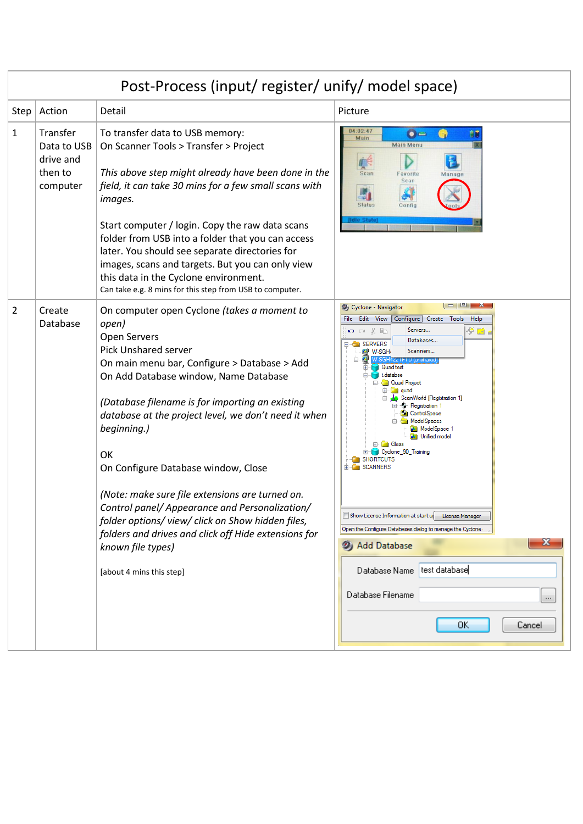| Post-Process (input/ register/ unify/ model space) |                                                             |                                                                                                                                                                                                                                                                                                                                                                                                                                                                                                                                                                                                                                             |                                                                                                                                                                                                                                                                                                                                                                                                                                                                                                                                                                                                                                                                                    |
|----------------------------------------------------|-------------------------------------------------------------|---------------------------------------------------------------------------------------------------------------------------------------------------------------------------------------------------------------------------------------------------------------------------------------------------------------------------------------------------------------------------------------------------------------------------------------------------------------------------------------------------------------------------------------------------------------------------------------------------------------------------------------------|------------------------------------------------------------------------------------------------------------------------------------------------------------------------------------------------------------------------------------------------------------------------------------------------------------------------------------------------------------------------------------------------------------------------------------------------------------------------------------------------------------------------------------------------------------------------------------------------------------------------------------------------------------------------------------|
| Step $ $                                           | Action                                                      | Detail                                                                                                                                                                                                                                                                                                                                                                                                                                                                                                                                                                                                                                      | Picture                                                                                                                                                                                                                                                                                                                                                                                                                                                                                                                                                                                                                                                                            |
| $\mathbf{1}$                                       | Transfer<br>Data to USB<br>drive and<br>then to<br>computer | To transfer data to USB memory:<br>On Scanner Tools > Transfer > Project<br>This above step might already have been done in the<br>field, it can take 30 mins for a few small scans with<br>images.<br>Start computer / login. Copy the raw data scans<br>folder from USB into a folder that you can access<br>later. You should see separate directories for<br>images, scans and targets. But you can only view<br>this data in the Cyclone environment.<br>Can take e.g. 8 mins for this step from USB to computer.                                                                                                                      | 04:02:47<br>$\bullet =$<br>n)<br>Main<br><b>Main Menu</b><br><b>Scan</b><br>Favorite<br>Manage<br>Scan<br><b>Status</b><br>Config                                                                                                                                                                                                                                                                                                                                                                                                                                                                                                                                                  |
| $\overline{2}$                                     | Create<br>Database                                          | On computer open Cyclone (takes a moment to<br>open)<br><b>Open Servers</b><br><b>Pick Unshared server</b><br>On main menu bar, Configure > Database > Add<br>On Add Database window, Name Database<br>(Database filename is for importing an existing<br>database at the project level, we don't need it when<br>beginning.)<br>OK<br>On Configure Database window, Close<br>(Note: make sure file extensions are turned on.<br>Control panel/ Appearance and Personalization/<br>folder options/view/click on Show hidden files,<br>folders and drives and click off Hide extensions for<br>known file types)<br>[about 4 mins this step] | $  -$<br>2) Cyclone - Navigator<br>File Edit View [Configure] Create Tools<br>Help<br>Servers<br>10 ™ ‰ ™ ©<br>ீஙி<br>Databases<br><b>B</b> SERVERS<br>Scanners<br>W-SGH<br>$422$ $\pm 10$ $\mu$ ms<br><b>Quad test</b><br>t.databse<br><b>Quad Project</b><br>quad<br>ScanWorld [Registration 1]<br><b>C</b> Registration 1<br><b>ControlSpace</b><br><b>ModelSpaces</b><br><b>ModelSpace</b><br><b>D</b> Unified model<br>E-B Glass<br>Cyclone_90_Training<br><b>SHORTCUTS</b><br><b>SCANNERS</b><br>Show License Information at start up License Manager<br>Open the Configure Databases dialog to manage the Cyclone<br>x<br>2) Add Database<br>test database<br>Database Name |
|                                                    |                                                             |                                                                                                                                                                                                                                                                                                                                                                                                                                                                                                                                                                                                                                             | Database Filename<br>$\cdots$<br>OΚ<br>Cancel                                                                                                                                                                                                                                                                                                                                                                                                                                                                                                                                                                                                                                      |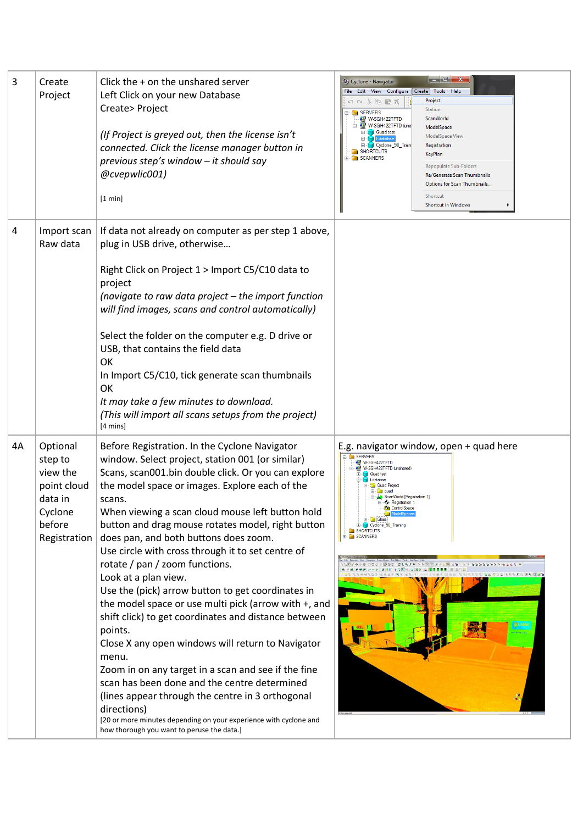| 3  | Create<br>Project                                                                              | Click the + on the unshared server<br>Left Click on your new Database<br>Create> Project<br>(If Project is greyed out, then the license isn't<br>connected. Click the license manager button in<br>previous step's window - it should say<br>@cvepwlic001)<br>[1 min]                                                                                                                                                                                                                                                                                                                                                                                                                                                                                                                                                                                                                                                                                                                                                            | $\begin{array}{c c c c c} \hline \multicolumn{1}{ c }{\textbf{}} & \multicolumn{1}{ c }{\textbf{}} & \multicolumn{1}{ c }{\textbf{}} \end{array} \begin{array}{c c c c} \multicolumn{1}{ c }{\textbf{}} & \multicolumn{1}{ c }{\textbf{}} & \multicolumn{1}{ c }{\textbf{}} & \multicolumn{1}{ c }{\textbf{}} \end{array}$<br>2 Cyclone - Navigator<br>File Edit View Configure Create Tools<br>Help<br>Project<br>$\circ$ $\circ$ $\ast$ $\circ$ $\circ$ $\ast$<br>Station<br><b>B</b> SERVERS<br>ScanWorld<br>W-SGH422TFTD<br>W-SGH422TFTD (uns<br>ModelSpace<br><b>Quad test</b><br>ModelSpace View<br>Cyclone_90_Train<br>Registration<br><b>SHORTCUTS</b><br>KeyPlan<br>SCANNERS<br><b>Repopulate Sub-Folders</b><br>Re/Generate Scan Thumbnails<br>Options for Scan Thumbnails<br>Shortcut<br><b>Shortcut in Windows</b> |
|----|------------------------------------------------------------------------------------------------|----------------------------------------------------------------------------------------------------------------------------------------------------------------------------------------------------------------------------------------------------------------------------------------------------------------------------------------------------------------------------------------------------------------------------------------------------------------------------------------------------------------------------------------------------------------------------------------------------------------------------------------------------------------------------------------------------------------------------------------------------------------------------------------------------------------------------------------------------------------------------------------------------------------------------------------------------------------------------------------------------------------------------------|--------------------------------------------------------------------------------------------------------------------------------------------------------------------------------------------------------------------------------------------------------------------------------------------------------------------------------------------------------------------------------------------------------------------------------------------------------------------------------------------------------------------------------------------------------------------------------------------------------------------------------------------------------------------------------------------------------------------------------------------------------------------------------------------------------------------------------|
| 4  | Import scan<br>Raw data                                                                        | If data not already on computer as per step 1 above,<br>plug in USB drive, otherwise<br>Right Click on Project 1 > Import C5/C10 data to<br>project<br>(navigate to raw data project - the import function<br>will find images, scans and control automatically)<br>Select the folder on the computer e.g. D drive or<br>USB, that contains the field data<br>OK<br>In Import C5/C10, tick generate scan thumbnails<br>OK<br>It may take a few minutes to download.<br>(This will import all scans setups from the project)<br>[4 mins]                                                                                                                                                                                                                                                                                                                                                                                                                                                                                          |                                                                                                                                                                                                                                                                                                                                                                                                                                                                                                                                                                                                                                                                                                                                                                                                                                |
| 4A | Optional<br>step to<br>view the<br>point cloud<br>data in<br>Cyclone<br>before<br>Registration | Before Registration. In the Cyclone Navigator<br>window. Select project, station 001 (or similar)<br>Scans, scan001.bin double click. Or you can explore<br>the model space or images. Explore each of the<br>scans.<br>When viewing a scan cloud mouse left button hold<br>button and drag mouse rotates model, right button<br>does pan, and both buttons does zoom.<br>Use circle with cross through it to set centre of<br>rotate / pan / zoom functions.<br>Look at a plan view.<br>Use the (pick) arrow button to get coordinates in<br>the model space or use multi pick (arrow with +, and<br>shift click) to get coordinates and distance between<br>points.<br>Close X any open windows will return to Navigator<br>menu.<br>Zoom in on any target in a scan and see if the fine<br>scan has been done and the centre determined<br>(lines appear through the centre in 3 orthogonal<br>directions)<br>[20 or more minutes depending on your experience with cyclone and<br>how thorough you want to peruse the data.] | E.g. navigator window, open + quad here<br>SERVERS<br>W-SGH422TFTD<br>W-SGH422TFTD (unshared)<br><b>Quad test</b><br><b>1</b> t.databse<br><b>Quad Project</b><br><b>a</b> l quad<br>ScanWorld [Registration 1]<br>Registration 1<br><b>ControlSpace</b><br><b>E</b> Glass<br><b>E</b> Cyclone_90_Training<br>SHORTCUTS<br>SCANNERS<br>さももだせ トトロ 国 ぎゅうぼ とる                                                                                                                                                                                                                                                                                                                                                                                                                                                                     |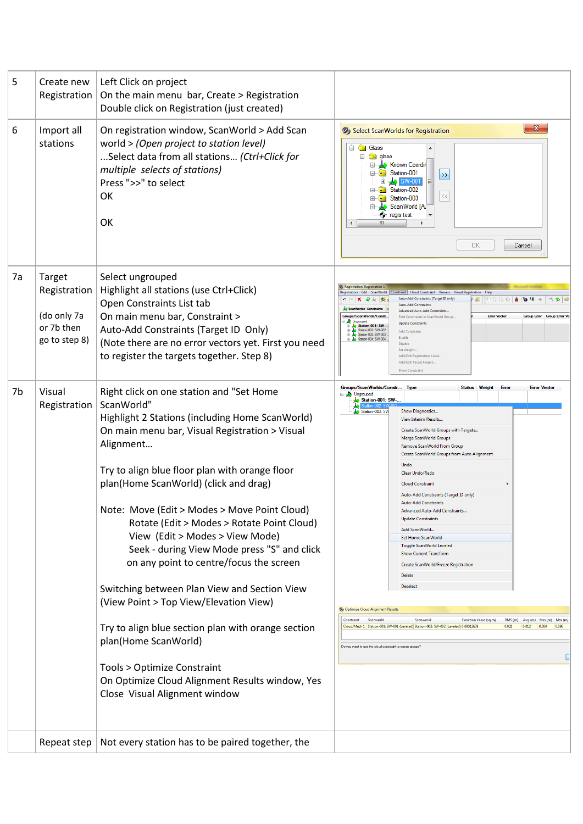| 5  | Create new<br>Registration                                           | Left Click on project<br>On the main menu bar, Create > Registration<br>Double click on Registration (just created)                                                                                                                                                                                                                                                                                                                                                                                                                                                                                                                                                                                                                                                                       |                                                                                                                                                                                                                                                                                                                                                                                                                                                                                                                                                                                                                                                                                                                                                                                                                                                                                                                                                                                                                                                                                |
|----|----------------------------------------------------------------------|-------------------------------------------------------------------------------------------------------------------------------------------------------------------------------------------------------------------------------------------------------------------------------------------------------------------------------------------------------------------------------------------------------------------------------------------------------------------------------------------------------------------------------------------------------------------------------------------------------------------------------------------------------------------------------------------------------------------------------------------------------------------------------------------|--------------------------------------------------------------------------------------------------------------------------------------------------------------------------------------------------------------------------------------------------------------------------------------------------------------------------------------------------------------------------------------------------------------------------------------------------------------------------------------------------------------------------------------------------------------------------------------------------------------------------------------------------------------------------------------------------------------------------------------------------------------------------------------------------------------------------------------------------------------------------------------------------------------------------------------------------------------------------------------------------------------------------------------------------------------------------------|
| 6  | Import all<br>stations                                               | On registration window, ScanWorld > Add Scan<br>world > (Open project to station level)<br>Select data from all stations (Ctrl+Click for<br>multiple selects of stations)<br>Press ">>" to select<br><b>OK</b><br>OK                                                                                                                                                                                                                                                                                                                                                                                                                                                                                                                                                                      | $\mathbf{x}$<br>2) Select ScanWorlds for Registration<br><b>E</b> Glass<br><b>E</b> class<br>Ėŀ<br>Known Coordin<br>Station-001<br>Θ<br>$\ket{ }$<br>国 <b>小SW-001</b><br>E Station-002<br>$\langle\,\langle$<br>Station-003<br>$+$<br>ScanWorld [Al]<br><b>t</b> regis test<br>Ш<br>ΟK<br>Cancel                                                                                                                                                                                                                                                                                                                                                                                                                                                                                                                                                                                                                                                                                                                                                                               |
| 7a | Target<br>Registration<br>(do only 7a<br>or 7b then<br>go to step 8) | Select ungrouped<br>Highlight all stations (use Ctrl+Click)<br>Open Constraints List tab<br>On main menu bar, Constraint ><br>Auto-Add Constraints (Target ID Only)<br>(Note there are no error vectors yet. First you need<br>to register the targets together. Step 8)                                                                                                                                                                                                                                                                                                                                                                                                                                                                                                                  | Constraint   Cloud Constraint   Viewers   Visual Reg<br>stration Edit ScanWorld<br>Auto-Add Constraints (Target ID only)<br>$\mathbb{Z}$ in a a $\phi$<br><b>Auto-Add Constraints</b><br>Advanced Auto-Add Constraints<br>Groups/ScanWorlds/Co<br><b>Error Vecto</b><br><b>Group Error</b><br><b>Group Error V</b><br>Find Constraints in ScanWorld Group<br><b>J.</b> Unarouped<br><b>Update Constraints</b><br>Station-001: SW-<br>Station 002: SW-002<br><b>Add Constraint</b><br>Station-003: SW-003<br>Enable<br>Station-004: SW-004<br><b>Disable</b><br>Set Weight.<br>Add/Edit Registration Label<br>Add/Edit Target Height<br><b>Show Constrain</b>                                                                                                                                                                                                                                                                                                                                                                                                                   |
| 7b | Visual<br>Registration                                               | Right click on one station and "Set Home<br>ScanWorld"<br>Highlight 2 Stations (including Home ScanWorld)<br>On main menu bar, Visual Registration > Visual<br>Alignment<br>Try to align blue floor plan with orange floor<br>plan(Home ScanWorld) (click and drag)<br>Note: Move (Edit > Modes > Move Point Cloud)<br>Rotate (Edit > Modes > Rotate Point Cloud)<br>View (Edit > Modes > View Mode)<br>Seek - during View Mode press "S" and click<br>on any point to centre/focus the screen<br>Switching between Plan View and Section View<br>(View Point > Top View/Elevation View)<br>Try to align blue section plan with orange section<br>plan(Home ScanWorld)<br>Tools > Optimize Constraint<br>On Optimize Cloud Alignment Results window, Yes<br>Close Visual Alignment window | Groups/ScanWorlds/Constr Type<br>Status Weight<br><b>Error</b><br><b>Error Vector</b><br><b>E</b> key Ungrouped<br>Station-001: SW-<br>Station-003: SW<br>Show Diagnostics<br>View Interim Results<br>Create ScanWorld Groups with Targets<br>Merge ScanWorld Groups<br>Remove ScanWorld From Group<br>Create ScanWorld Groups from Auto Alignment<br>Undo<br>Clear Undo/Redo<br><b>Cloud Constraint</b><br>Auto-Add Constraints (Target ID only)<br><b>Auto-Add Constraints</b><br>Advanced Auto-Add Constraints.<br><b>Update Constraints</b><br>Add ScanWorld<br><b>Set Home ScanWorld</b><br><b>Toggle ScanWorld Leveled</b><br><b>Show Current Transform</b><br>Create ScanWorld/Freeze Registration<br><b>Delete</b><br><b>Deselect</b><br>2) Optimize Cloud Alignment Results<br>Scanworld<br>Scanworld<br>RMS (m) Avg (m) Min (m) Max (m<br>Constraint<br>Function Value (sq m)<br>Cloud/Mesh 1 Station-001: SW-001 (Leveled) Station-002: SW-002 (Leveled) 0.00012679<br>0.021<br>0.012<br>0.000<br>0.096<br>Do you want to use the cloud constraint to merge groups? |
|    | Repeat step                                                          | Not every station has to be paired together, the                                                                                                                                                                                                                                                                                                                                                                                                                                                                                                                                                                                                                                                                                                                                          |                                                                                                                                                                                                                                                                                                                                                                                                                                                                                                                                                                                                                                                                                                                                                                                                                                                                                                                                                                                                                                                                                |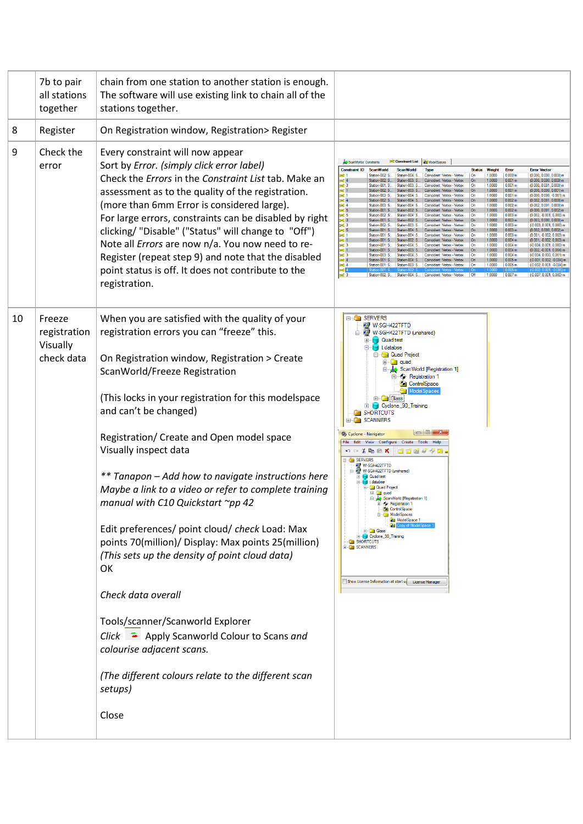|    | 7b to pair<br>all stations<br>together           | chain from one station to another station is enough.<br>The software will use existing link to chain all of the<br>stations together.                                                                                                                                                                                                                                                                                                                                                                                                                                                                                                                                                                                                                                                                                                                                                     |                                                                                                                                                                                                                                                                                                                                                                                                                                                                                                                                                                                                                                                                                                                                                                                                                                                                                                                                                                                                                                                                                                                                                                                                                                                                                                                                                                                                                                                                                                                                                                                                                                                                                                                                                                                                                                                                                                                                                                                                                                                |
|----|--------------------------------------------------|-------------------------------------------------------------------------------------------------------------------------------------------------------------------------------------------------------------------------------------------------------------------------------------------------------------------------------------------------------------------------------------------------------------------------------------------------------------------------------------------------------------------------------------------------------------------------------------------------------------------------------------------------------------------------------------------------------------------------------------------------------------------------------------------------------------------------------------------------------------------------------------------|------------------------------------------------------------------------------------------------------------------------------------------------------------------------------------------------------------------------------------------------------------------------------------------------------------------------------------------------------------------------------------------------------------------------------------------------------------------------------------------------------------------------------------------------------------------------------------------------------------------------------------------------------------------------------------------------------------------------------------------------------------------------------------------------------------------------------------------------------------------------------------------------------------------------------------------------------------------------------------------------------------------------------------------------------------------------------------------------------------------------------------------------------------------------------------------------------------------------------------------------------------------------------------------------------------------------------------------------------------------------------------------------------------------------------------------------------------------------------------------------------------------------------------------------------------------------------------------------------------------------------------------------------------------------------------------------------------------------------------------------------------------------------------------------------------------------------------------------------------------------------------------------------------------------------------------------------------------------------------------------------------------------------------------------|
| 8  | Register                                         | On Registration window, Registration> Register                                                                                                                                                                                                                                                                                                                                                                                                                                                                                                                                                                                                                                                                                                                                                                                                                                            |                                                                                                                                                                                                                                                                                                                                                                                                                                                                                                                                                                                                                                                                                                                                                                                                                                                                                                                                                                                                                                                                                                                                                                                                                                                                                                                                                                                                                                                                                                                                                                                                                                                                                                                                                                                                                                                                                                                                                                                                                                                |
| 9  | Check the<br>error                               | Every constraint will now appear<br>Sort by Error. (simply click error label)<br>Check the Errors in the Constraint List tab. Make an<br>assessment as to the quality of the registration.<br>(more than 6mm Error is considered large).<br>For large errors, constraints can be disabled by right<br>clicking/ "Disable" ("Status" will change to "Off")<br>Note all <i>Errors</i> are now n/a. You now need to re-<br>Register (repeat step 9) and note that the disabled<br>point status is off. It does not contribute to the<br>registration.                                                                                                                                                                                                                                                                                                                                        | ModelSpaces<br>ScanWorlds' Constraints<br>Weight<br>Error<br><b>Constraint ID</b><br><b>ScanWorld</b><br><b>Status</b><br>Station-002-S<br>1,0000<br>0.000r<br>(0.000 0.000 0.000)<br>Station-004: S.<br>Coincident: Vertex - Vertex<br>0n<br>0.001 <sub>n</sub><br>Station-002: S<br>Coincident: Vertex - Verte:<br>10000<br>1.0000<br>0.001n<br>$\frac{36}{36}$ 1<br>Station-001: S<br>Station-003: S<br>Coincident: Vertex - Vertex<br>$(0.000, 0.001, 0.000)$ m<br>.On<br>0.001n<br>Station-002: S.<br>Station-003: S.<br>1.0000<br>$(0.000, 0.000, 0.001)$ n<br>0.001n<br>Station-003: S.<br>Station-004: S.<br>1.0000<br>0.002 <sub>m</sub><br>Station-002: S.<br>Station-004: S<br>1.0000<br>× 4<br>× 5<br>× 5<br>Station-003: S.<br>Station-004: S<br>1,0000<br>0.002n<br>Coincident: Vertex - Vertex<br>(0.002.0.001.0.000)<br>0.002r<br>1.0000<br>0.003 <sub>π</sub><br>Station-002: S<br>Station-004: S.<br>Coincident: Vertex - Vertex<br>On<br>$(0.002, -0.001, 0.000)$ m<br>$3623$<br>$3623$<br>$3625$<br>0.003n<br>Station-002: S.<br>1,0000<br>0.003n<br>Station-003: S.<br>1.0000<br>Station-002: S.<br>Coincident: Vertex - Vertex<br>0.003n<br>Station-001: S.<br>Station-004: S<br>1.0000<br>≫d]<br>≫d]<br>Station-004: S<br>1,0000<br>0.003r<br>0.004 <sub>n</sub><br>1.0000<br>302 3<br>302 1<br>302 3<br>302 4<br>Station-004: S<br>1.0000<br>0.004n<br>$(-0.004, 0.001, 0.000)$ m<br>Station-001: S<br>Coincident: Vertex - Vertex<br>On<br>1.0000<br>0.004n<br>0.004 <sub>π</sub><br>Station-003: S<br>Station-004: S<br>Coincident: Vertex - Vertex<br>1.0000<br>$(-0.004, 0.000, 0.001)$ m<br>Station-001: S Station-004: S Coincident: Vertex - Vertex<br>0.005 <sub>m</sub><br>(-0.001, 0.002, -0.004) m<br>1.0000<br>$\frac{1}{2}$ $\times$ $\frac{1}{3}$<br>0.005 <sub>m</sub><br>Station-001: S<br>Station-003: S.<br>1.0000<br>(-0.002, 0.001, -0.004) m<br>Coincident: Vertex - Vertex<br>0n<br>0.007 <sub>m</sub><br>Station-004: S.<br>Coincident: Vertex - Vertex<br>1.0000<br>$(-0.007, 0.001, 0.000)$ m |
| 10 | Freeze<br>registration<br>Visually<br>check data | When you are satisfied with the quality of your<br>registration errors you can "freeze" this.<br>On Registration window, Registration > Create<br>ScanWorld/Freeze Registration<br>(This locks in your registration for this modelspace<br>and can't be changed)<br>Registration/ Create and Open model space<br>Visually inspect data<br>** Tanapon – Add how to navigate instructions here<br>Maybe a link to a video or refer to complete training<br>manual with C10 Quickstart ~pp 42<br>Edit preferences/ point cloud/ check Load: Max<br>points 70(million)/ Display: Max points 25(million)<br>(This sets up the density of point cloud data)<br>OK<br>Check data overall<br>Tools/scanner/Scanworld Explorer<br>Click $\blacksquare$ Apply Scanworld Colour to Scans and<br>colourise adjacent scans.<br>(The different colours relate to the different scan<br>setups)<br>Close | <b>E</b> SERVERS<br>W-SGH422TFTD<br>D. W.SGH422TFTD (unshared)<br><b>Quad test</b><br>t.databse<br>Quad Project<br><b>Elimited</b> quad<br>ScanWorld [Registration 1]<br>- Registration 1<br><b>ControlSpace</b><br>ModelSpa<br><b>Glass</b><br>$\mathbf{H}$<br>E Cyclone_90_Training<br>SHORTCUTS<br><b>SCANNERS</b><br>- 8<br>2) Cyclone - Navigator<br>File Edit View Configure Create Tools Help<br>い○る陶尼ズ<br>SERVERS<br>W-SGH422TFTD<br>W-SGH422TFTD (unshared)<br><b>Cuad test</b><br>I t.databse<br><b>Quad Project</b><br><b>quad</b><br>ScanWorld [Registration 1]<br>Registration 1<br><b>ControlSpace</b><br>ModelSpaces<br>ModelSpace 1<br>E- Glass<br>E Cyclone_90_Training<br><b>SHORTCUTS</b><br><b>E</b> SCANNERS<br>Show License Information at start u License Manager                                                                                                                                                                                                                                                                                                                                                                                                                                                                                                                                                                                                                                                                                                                                                                                                                                                                                                                                                                                                                                                                                                                                                                                                                                                       |